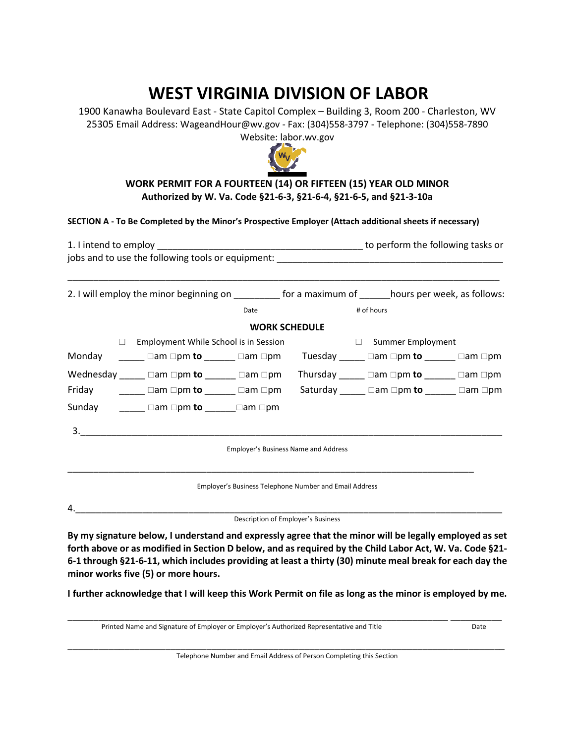## **WEST VIRGINIA DIVISION OF LABOR**

1900 Kanawha Boulevard East - State Capitol Complex – Building 3, Room 200 - Charleston, WV 25305 Email Address: WageandHour@wv.gov - Fax: (304)558-3797 - Telephone: (304)558-7890 Website: labor.wv.gov



## **WORK PERMIT FOR A FOURTEEN (14) OR FIFTEEN (15) YEAR OLD MINOR Authorized by W. Va. Code §21-6-3, §21-6-4, §21-6-5, and §21-3-10a**

## **SECTION A - To Be Completed by the Minor's Prospective Employer (Attach additional sheets if necessary)**

|    |                                              |                                                        |                     | jobs and to use the following tools or equipment: <b>Example 2018</b>                                                                               |  |
|----|----------------------------------------------|--------------------------------------------------------|---------------------|-----------------------------------------------------------------------------------------------------------------------------------------------------|--|
|    |                                              |                                                        |                     | 2. I will employ the minor beginning on __________ for a maximum of _______hours per week, as follows:                                              |  |
|    |                                              | Date                                                   |                     | # of hours                                                                                                                                          |  |
|    |                                              | <b>WORK SCHEDULE</b>                                   |                     |                                                                                                                                                     |  |
|    | $\Box$ Employment While School is in Session |                                                        | □ Summer Employment |                                                                                                                                                     |  |
|    |                                              |                                                        |                     |                                                                                                                                                     |  |
|    |                                              |                                                        |                     | Wednesday ______ $\Box$ am $\Box$ pm <b>to</b> _______ $\Box$ am $\Box$ pm Thursday ______ $\Box$ am $\Box$ pm <b>to</b> ______ $\Box$ am $\Box$ pm |  |
|    |                                              |                                                        |                     | Friday $\Box$ am $\Box$ pm to $\Box$ am $\Box$ pm Saturday $\Box$ am $\Box$ pm to $\Box$ am $\Box$ pm                                               |  |
|    |                                              |                                                        |                     |                                                                                                                                                     |  |
|    |                                              |                                                        |                     |                                                                                                                                                     |  |
|    |                                              | <b>Employer's Business Name and Address</b>            |                     |                                                                                                                                                     |  |
|    |                                              | Employer's Business Telephone Number and Email Address |                     |                                                                                                                                                     |  |
| 4. |                                              |                                                        |                     |                                                                                                                                                     |  |
|    |                                              | Description of Employer's Business                     |                     |                                                                                                                                                     |  |

**By my signature below, I understand and expressly agree that the minor will be legally employed as set forth above or as modified in Section D below, and as required by the Child Labor Act, W. Va. Code §21- 6-1 through §21-6-11, which includes providing at least a thirty (30) minute meal break for each day the minor works five (5) or more hours.** 

**I further acknowledge that I will keep this Work Permit on file as long as the minor is employed by me.** 

Printed Name and Signature of Employer or Employer's Authorized Representative and Title Date

\_\_\_\_\_\_\_\_\_\_\_\_\_\_\_\_\_\_\_\_\_\_\_\_\_\_\_\_\_\_\_\_\_\_\_\_\_\_\_\_\_\_\_\_\_\_\_\_\_\_\_\_\_\_\_\_\_\_\_\_\_\_\_\_\_\_\_\_\_\_\_\_\_\_\_\_\_\_\_\_\_\_\_\_\_ Telephone Number and Email Address of Person Completing this Section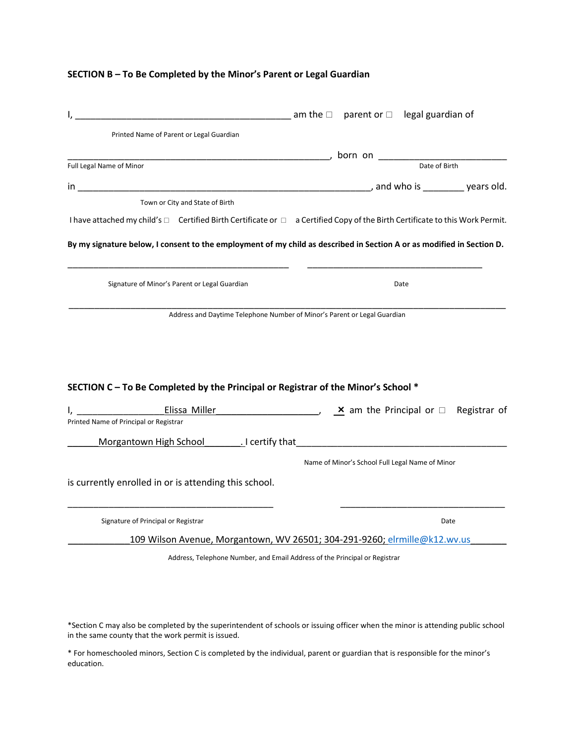## **SECTION B – To Be Completed by the Minor's Parent or Legal Guardian**

| $\mathsf{I},$ am the $\Box$ parent or $\Box$ legal guardian of                                                               |  |                                                 |  |
|------------------------------------------------------------------------------------------------------------------------------|--|-------------------------------------------------|--|
| Printed Name of Parent or Legal Guardian                                                                                     |  |                                                 |  |
|                                                                                                                              |  |                                                 |  |
| born on <u>example of Birth Date of Birth</u><br>Full Legal Name of Minor                                                    |  |                                                 |  |
|                                                                                                                              |  |                                                 |  |
| Town or City and State of Birth                                                                                              |  |                                                 |  |
| I have attached my child's □ Certified Birth Certificate or □ a Certified Copy of the Birth Certificate to this Work Permit. |  |                                                 |  |
| By my signature below, I consent to the employment of my child as described in Section A or as modified in Section D.        |  |                                                 |  |
| Signature of Minor's Parent or Legal Guardian                                                                                |  | Date                                            |  |
|                                                                                                                              |  |                                                 |  |
| Address and Daytime Telephone Number of Minor's Parent or Legal Guardian                                                     |  |                                                 |  |
|                                                                                                                              |  |                                                 |  |
|                                                                                                                              |  |                                                 |  |
|                                                                                                                              |  |                                                 |  |
|                                                                                                                              |  |                                                 |  |
|                                                                                                                              |  |                                                 |  |
| SECTION C - To Be Completed by the Principal or Registrar of the Minor's School *                                            |  |                                                 |  |
|                                                                                                                              |  |                                                 |  |
| Printed Name of Principal or Registrar                                                                                       |  |                                                 |  |
| Morgantown High School 1996 Lee Life and Terrify that 1997 Morgantown High School                                            |  |                                                 |  |
|                                                                                                                              |  | Name of Minor's School Full Legal Name of Minor |  |
| is currently enrolled in or is attending this school.                                                                        |  |                                                 |  |
|                                                                                                                              |  |                                                 |  |
| Signature of Principal or Registrar                                                                                          |  | Date                                            |  |
| 109 Wilson Avenue, Morgantown, WV 26501; 304-291-9260; elrmille@k12.wv.us                                                    |  |                                                 |  |

\*Section C may also be completed by the superintendent of schools or issuing officer when the minor is attending public school in the same county that the work permit is issued.

\* For homeschooled minors, Section C is completed by the individual, parent or guardian that is responsible for the minor's education.